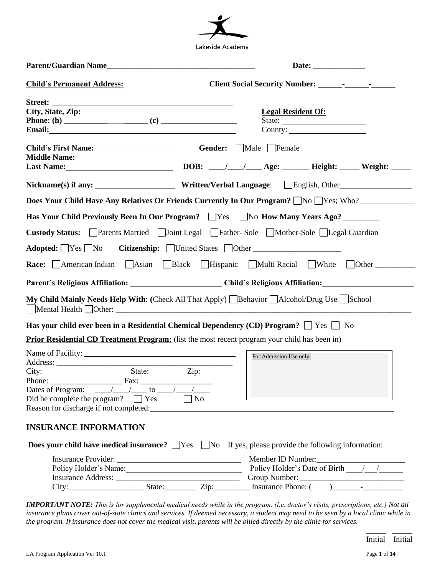

| Date: $\qquad \qquad$                                                                                                                                                                                                            |                                     |  |  |  |
|----------------------------------------------------------------------------------------------------------------------------------------------------------------------------------------------------------------------------------|-------------------------------------|--|--|--|
| <b>Child's Permanent Address:</b>                                                                                                                                                                                                |                                     |  |  |  |
|                                                                                                                                                                                                                                  | <b>Legal Resident Of:</b><br>State: |  |  |  |
| Child's First Name:<br>Middle Name:<br><u> </u>                                                                                                                                                                                  | Gender: Male Female                 |  |  |  |
| Nickname(s) if any: _________________________Written/Verbal Language: [English, Other_______________                                                                                                                             |                                     |  |  |  |
| Does Your Child Have Any Relatives Or Friends Currently In Our Program? No Yes; Who?                                                                                                                                             |                                     |  |  |  |
| Has Your Child Previously Been In Our Program? Yes No How Many Years Ago?                                                                                                                                                        |                                     |  |  |  |
| Custody Status: Parents Married Joint Legal Father-Sole Mother-Sole Legal Guardian                                                                                                                                               |                                     |  |  |  |
| Adopted: Yes No Citizenship: United States Other                                                                                                                                                                                 |                                     |  |  |  |
| <b>Race:</b> American Indian Asian Black Hispanic Multi Racial White Other                                                                                                                                                       |                                     |  |  |  |
| Parent's Religious Affiliation: __________________________Child's Religious Affiliation: _____________________                                                                                                                   |                                     |  |  |  |
| My Child Mainly Needs Help With: (Check All That Apply) Behavior Alcohol/Drug Use School                                                                                                                                         |                                     |  |  |  |
| Has your child ever been in a Residential Chemical Dependency (CD) Program? $\Box$ Yes $\Box$ No                                                                                                                                 |                                     |  |  |  |
| <b>Prior Residential CD Treatment Program:</b> (list the most recent program your child has been in)                                                                                                                             |                                     |  |  |  |
| $\frac{1}{\sqrt{2}}$ Fax:<br>Phone:<br>Dates of Program: $\frac{\sqrt{1-\frac{1}{2}}}{\sqrt{1-\frac{1}{2}}}$ to $\frac{\sqrt{1-\frac{1}{2}}}{\sqrt{1-\frac{1}{2}}}$<br>Did he complete the program? $\Box$ Yes<br>N <sub>0</sub> | For Admission Use only:             |  |  |  |
| <b>INSURANCE INFORMATION</b>                                                                                                                                                                                                     |                                     |  |  |  |
| <b>Does your child have medical insurance?</b> Yes No If yes, please provide the following information:                                                                                                                          |                                     |  |  |  |
| Policy Holder's Name:                                                                                                                                                                                                            | Member ID Number:                   |  |  |  |

*IMPORTANT NOTE: This is for supplemental medical needs while in the program. (i.e. doctor's visits, prescriptions, etc.) Not all insurance plans cover out-of-state clinics and services. If deemed necessary, a student may need to be seen by a local clinic while in the program. If insurance does not cover the medical visit, parents will be billed directly by the clinic for services.*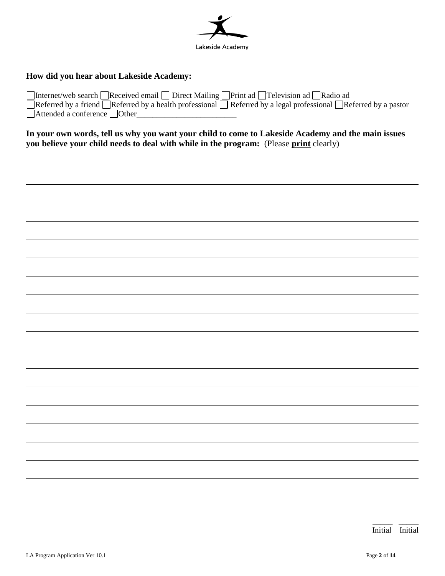

### **How did you hear about Lakeside Academy:**

| □Internet/web search □Received email □ Direct Mailing □ Print ad □ Television ad □ Radio ad                  |
|--------------------------------------------------------------------------------------------------------------|
| Referred by a friend Referred by a health professional Referred by a legal professional Referred by a pastor |
| $\Box$ Attended a conference $\Box$ Other                                                                    |

**In your own words, tell us why you want your child to come to Lakeside Academy and the main issues you believe your child needs to deal with while in the program:** (Please **print** clearly)

l l l l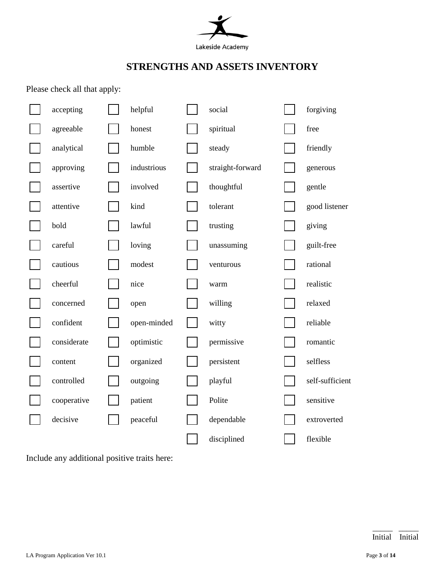

# **STRENGTHS AND ASSETS INVENTORY**

Please check all that apply:

| accepting   | helpful     | social           | forgiving       |
|-------------|-------------|------------------|-----------------|
| agreeable   | honest      | spiritual        | free            |
| analytical  | humble      | steady           | friendly        |
| approving   | industrious | straight-forward | generous        |
| assertive   | involved    | thoughtful       | gentle          |
| attentive   | kind        | tolerant         | good listener   |
| bold        | lawful      | trusting         | giving          |
| careful     | loving      | unassuming       | guilt-free      |
| cautious    | modest      | venturous        | rational        |
| cheerful    | nice        | warm             | realistic       |
| concerned   | open        | willing          | relaxed         |
| confident   | open-minded | witty            | reliable        |
| considerate | optimistic  | permissive       | romantic        |
| content     | organized   | persistent       | selfless        |
| controlled  | outgoing    | playful          | self-sufficient |
| cooperative | patient     | Polite           | sensitive       |
| decisive    | peaceful    | dependable       | extroverted     |
|             |             | disciplined      | flexible        |

Include any additional positive traits here: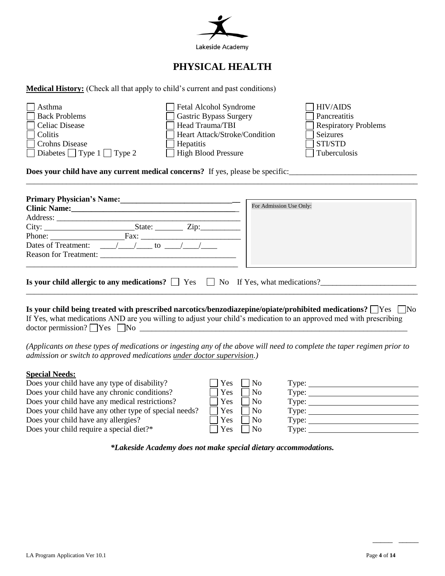

# **PHYSICAL HEALTH**

**Medical History:** (Check all that apply to child's current and past conditions)

| Asthma                                      | Fetal Alcohol Syndrome        | $\Box$ HIV/AIDS             |
|---------------------------------------------|-------------------------------|-----------------------------|
| <b>Back Problems</b>                        | Gastric Bypass Surgery        | Pancreatitis                |
| Celiac Disease                              | Head Trauma/TBI               | <b>Respiratory Problems</b> |
| $\Box$ Colitis                              | Heart Attack/Stroke/Condition | Seizures                    |
| Crohns Disease                              | Hepatitis                     | $\exists$ STI/STD           |
| $\Box$ Diabetes $\Box$ Type 1 $\Box$ Type 2 | High Blood Pressure           | Tuberculosis                |
|                                             |                               |                             |

**Does your child have any current medical concerns?** If yes, please be specific:\_\_\_\_\_\_\_\_\_\_\_\_\_\_\_\_\_\_\_\_\_\_\_\_\_\_\_\_\_\_\_\_

| <b>Primary Physician's Name:</b>                                                                               |                         |
|----------------------------------------------------------------------------------------------------------------|-------------------------|
| Clinic Name: 2008. [19] Daniel Manner Manner Manner Manner Manner Manner Manner Manner Manner Manner Manner Ma | For Admission Use Only: |
| Address:                                                                                                       |                         |
|                                                                                                                |                         |
| Phone: Fax:                                                                                                    |                         |
| Dates of Treatment:<br>$\sqrt{1 + 10}$                                                                         |                         |
| Reason for Treatment:                                                                                          |                         |
|                                                                                                                |                         |
| Is your child allergic to any medications? $\Box$ Yes $\Box$ No If Yes, what medications?                      |                         |

\_\_\_\_\_\_\_\_\_\_\_\_\_\_\_\_\_\_\_\_\_\_\_\_\_\_\_\_\_\_\_\_\_\_\_\_\_\_\_\_\_\_\_\_\_\_\_\_\_\_\_\_\_\_\_\_\_\_\_\_\_\_\_\_\_\_\_\_\_\_\_\_\_\_\_\_\_\_\_\_\_\_\_\_\_\_\_\_\_\_\_\_\_\_\_\_\_\_

**Is your child being treated with prescribed narcotics/benzodiazepine/opiate/prohibited medications? No No No No** If Yes, what medications AND are you willing to adjust your child's medication to an approved med with prescribing doctor permission?  $\Box$  Yes  $\Box$  No  $\Box$ 

*(Applicants on these types of medications or ingesting any of the above will need to complete the taper regimen prior to admission or switch to approved medications under doctor supervision.)*

#### **Special Needs:**

| Does your child have any type of disability?          | Yes        | N <sub>0</sub> | Type: $\_\_$        |  |
|-------------------------------------------------------|------------|----------------|---------------------|--|
| Does your child have any chronic conditions?          | l Yes      | No             | Type: $\mathcal{L}$ |  |
| Does your child have any medical restrictions?        | l Yes      | N <sub>o</sub> | Type:               |  |
| Does your child have any other type of special needs? | Yes        | $\mathsf{N}_0$ | Type: $\mathcal{I}$ |  |
| Does your child have any allergies?                   | <b>Yes</b> | N <sub>0</sub> | Type: $\_\_$        |  |
| Does your child require a special diet?*              | l Yes      | <b>No</b>      | Type:               |  |
|                                                       |            |                |                     |  |

*\*Lakeside Academy does not make special dietary accommodations.*

\_\_\_\_\_ \_\_\_\_\_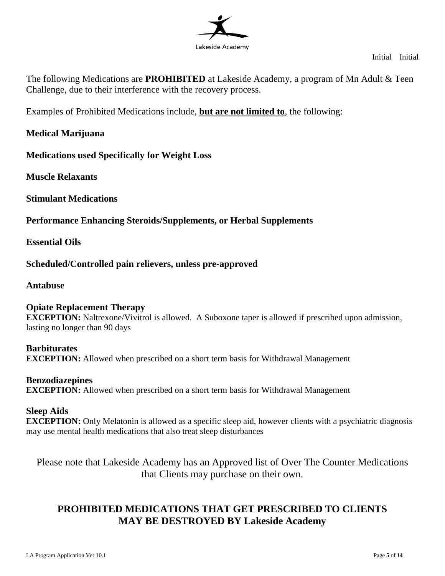

Initial Initial

The following Medications are **PROHIBITED** at Lakeside Academy, a program of Mn Adult & Teen Challenge, due to their interference with the recovery process.

Examples of Prohibited Medications include, **but are not limited to**, the following:

### **Medical Marijuana**

**Medications used Specifically for Weight Loss** 

**Muscle Relaxants**

**Stimulant Medications** 

**Performance Enhancing Steroids/Supplements, or Herbal Supplements**

**Essential Oils** 

**Scheduled/Controlled pain relievers, unless pre-approved**

**Antabuse**

**Opiate Replacement Therapy EXCEPTION:** Naltrexone/Vivitrol is allowed. A Suboxone taper is allowed if prescribed upon admission, lasting no longer than 90 days

**Barbiturates EXCEPTION:** Allowed when prescribed on a short term basis for Withdrawal Management

**Benzodiazepines EXCEPTION:** Allowed when prescribed on a short term basis for Withdrawal Management

### **Sleep Aids**

**EXCEPTION:** Only Melatonin is allowed as a specific sleep aid, however clients with a psychiatric diagnosis may use mental health medications that also treat sleep disturbances

Please note that Lakeside Academy has an Approved list of Over The Counter Medications that Clients may purchase on their own.

# **PROHIBITED MEDICATIONS THAT GET PRESCRIBED TO CLIENTS MAY BE DESTROYED BY Lakeside Academy**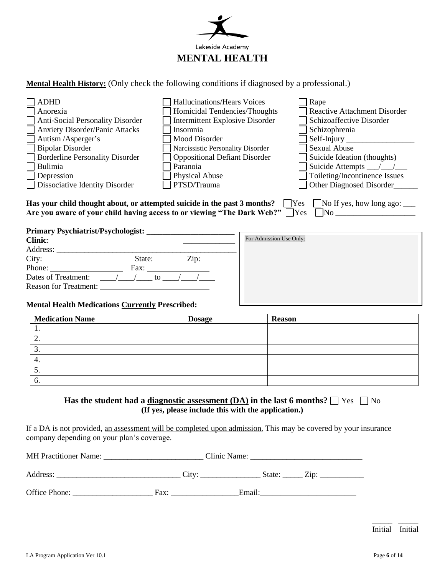

**Mental Health History:** (Only check the following conditions if diagnosed by a professional.)

| $\exists$ ADHD                         | Hallucinations/Hears Voices            | Rape                                |
|----------------------------------------|----------------------------------------|-------------------------------------|
| Anorexia                               | Homicidal Tendencies/Thoughts          | <b>Reactive Attachment Disorder</b> |
| Anti-Social Personality Disorder       | <b>Intermittent Explosive Disorder</b> | Schizoaffective Disorder            |
| Anxiety Disorder/Panic Attacks         | Insomnia                               | Schizophrenia                       |
| Autism /Asperger's                     | Mood Disorder                          | Self-Injury                         |
| <b>Bipolar Disorder</b>                | Narcissistic Personality Disorder      | <b>Sexual Abuse</b>                 |
| <b>Borderline Personality Disorder</b> | <b>Oppositional Defiant Disorder</b>   | Suicide Ideation (thoughts)         |
| Bulimia                                | Paranoia                               | Suicide Attempts                    |
| Depression                             | <b>Physical Abuse</b>                  | Toileting/Incontinence Issues       |
| <b>Dissociative Identity Disorder</b>  | PTSD/Trauma                            | Other Diagnosed Disorder            |

Has your child thought about, or attempted suicide in the past 3 months? Nes No If yes, how long ago: \_\_\_\_\_\_\_\_ Are you aware of your child having access to or viewing "The Dark Web?"  $\Box$  Yes  $\Box$  No  $\Box$ 

**Primary Psychiatrist/Psychologist: \_\_\_\_\_\_\_\_\_\_\_\_\_\_\_\_\_\_\_\_\_\_**

| <b>Clinic:</b>                                                                                       |                             |  |
|------------------------------------------------------------------------------------------------------|-----------------------------|--|
| Address:                                                                                             |                             |  |
|                                                                                                      | State: $\angle$ Zip:        |  |
| Phone: $\frac{1}{\sqrt{1-\frac{1}{2}}\sqrt{1-\frac{1}{2}}\sqrt{1-\frac{1}{2}}\sqrt{1-\frac{1}{2}}}}$ | Fax:                        |  |
| Dates of Treatment:                                                                                  | $\sqrt{1}$<br>to $\sqrt{2}$ |  |
| <b>Reason for Treatment:</b>                                                                         |                             |  |

| For Admission Use Only: |  |  |
|-------------------------|--|--|
|                         |  |  |
|                         |  |  |
|                         |  |  |
|                         |  |  |
|                         |  |  |

#### **Mental Health Medications Currently Prescribed:**

| <b>Medication Name</b> | <b>Dosage</b> | <b>Reason</b> |  |
|------------------------|---------------|---------------|--|
| . .                    |               |               |  |
| <u>L</u> .             |               |               |  |
| $\mathfrak{I}$         |               |               |  |
| 4.                     |               |               |  |
| J.                     |               |               |  |
| $\mathbf{b}$           |               |               |  |

#### **Has the student had a <u>diagnostic assessment</u> (DA)</del> in the last 6 months?**  $\Box$  **Yes**  $\Box$  **No (If yes, please include this with the application.)**

If a DA is not provided, an assessment will be completed upon admission. This may be covered by your insurance company depending on your plan's coverage.

| <b>MH</b> Practitioner Name: | Clinic Name: |                    |       |  |
|------------------------------|--------------|--------------------|-------|--|
|                              | City         |                    |       |  |
| Address:                     |              | state <sup>.</sup> | -11 D |  |

Office Phone: Fax: Email:

 $\frac{1}{2}$  ,  $\frac{1}{2}$  ,  $\frac{1}{2}$  ,  $\frac{1}{2}$  ,  $\frac{1}{2}$  ,  $\frac{1}{2}$  ,  $\frac{1}{2}$  ,  $\frac{1}{2}$  ,  $\frac{1}{2}$  ,  $\frac{1}{2}$  ,  $\frac{1}{2}$  ,  $\frac{1}{2}$  ,  $\frac{1}{2}$  ,  $\frac{1}{2}$  ,  $\frac{1}{2}$  ,  $\frac{1}{2}$  ,  $\frac{1}{2}$  ,  $\frac{1}{2}$  ,  $\frac{1$ Initial Initial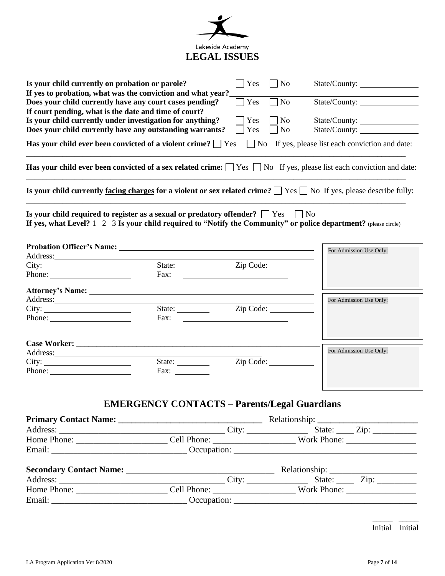

| Is your child currently on probation or parole?                                                                                                                                                                                |                                                     | Yes                                                                              | $\overline{N}$       | State/County:                                                                                                                        |
|--------------------------------------------------------------------------------------------------------------------------------------------------------------------------------------------------------------------------------|-----------------------------------------------------|----------------------------------------------------------------------------------|----------------------|--------------------------------------------------------------------------------------------------------------------------------------|
| If yes to probation, what was the conviction and what year?<br>Does your child currently have any court cases pending?<br>If court pending, what is the date and time of court?                                                |                                                     | Yes                                                                              | $\Box$ No            | State/County:                                                                                                                        |
| Is your child currently under investigation for anything?<br>Does your child currently have any outstanding warrants?                                                                                                          |                                                     | Yes<br>Yes                                                                       | No<br>N <sub>0</sub> | State/County:<br>State/County:                                                                                                       |
| Has your child ever been convicted of a violent crime? $\Box$ Yes                                                                                                                                                              |                                                     |                                                                                  |                      | $\Box$ No If yes, please list each conviction and date:                                                                              |
|                                                                                                                                                                                                                                |                                                     |                                                                                  |                      | <b>Has your child ever been convicted of a sex related crime:</b> $\Box$ Yes $\Box$ No If yes, please list each conviction and date: |
| Is your child currently <u>facing charges</u> for a violent or sex related crime? $\Box$ Yes $\Box$ No If yes, please describe fully:                                                                                          |                                                     |                                                                                  |                      |                                                                                                                                      |
| Is your child required to register as a sexual or predatory offender? $\Box$ Yes<br>If yes, what Level? 1 2 3 Is your child required to "Notify the Community" or police department? (please circle)                           |                                                     |                                                                                  | $\vert$   No         |                                                                                                                                      |
| Probation Officer's Name: Name: Name of the Contract of the Contract of the Contract of the Contract of the Contract of the Contract of the Contract of the Contract of the Contract of the Contract of the Contract of the Co |                                                     |                                                                                  |                      | For Admission Use Only:                                                                                                              |
| City:                                                                                                                                                                                                                          | Fax:                                                | State: <u>Zip Code:</u><br><u> 1980 - Jan Samuel Barbara, martin di</u>          |                      |                                                                                                                                      |
| Attorney's Name:                                                                                                                                                                                                               |                                                     |                                                                                  |                      | For Admission Use Only:                                                                                                              |
| City:                                                                                                                                                                                                                          | Fax:                                                | State: <u>Zip Code:</u><br><u> 1989 - Johann Stein, fransk politik (d. 1989)</u> |                      |                                                                                                                                      |
|                                                                                                                                                                                                                                |                                                     |                                                                                  |                      |                                                                                                                                      |
|                                                                                                                                                                                                                                |                                                     |                                                                                  |                      | For Admission Use Only:                                                                                                              |
| City:                                                                                                                                                                                                                          | State: $\frac{\ }{\ }$                              |                                                                                  | Zip Code:            |                                                                                                                                      |
|                                                                                                                                                                                                                                | Fax: $\qquad \qquad$                                |                                                                                  |                      |                                                                                                                                      |
|                                                                                                                                                                                                                                | <b>EMERGENCY CONTACTS - Parents/Legal Guardians</b> |                                                                                  |                      |                                                                                                                                      |
|                                                                                                                                                                                                                                |                                                     |                                                                                  |                      |                                                                                                                                      |
|                                                                                                                                                                                                                                |                                                     |                                                                                  |                      |                                                                                                                                      |
|                                                                                                                                                                                                                                |                                                     |                                                                                  |                      |                                                                                                                                      |
|                                                                                                                                                                                                                                |                                                     |                                                                                  |                      |                                                                                                                                      |
|                                                                                                                                                                                                                                |                                                     |                                                                                  |                      |                                                                                                                                      |
| Address Contract Contract Contract Contract Contract Contract Contract Contract Contract Contract Contract Contract Contract Contract Contract Contract Contract Contract Contract Contract Contract Contract Contract Contrac |                                                     |                                                                                  |                      | City State Zin                                                                                                                       |

| Address:    |              | $\mathcal{L}$ ity | State:             | $-$<br>$\angle 10^\circ$ |
|-------------|--------------|-------------------|--------------------|--------------------------|
| Home Phone: | Cell Phone:  |                   | <b>Work Phone:</b> |                          |
| Email:      | : Occupation |                   |                    |                          |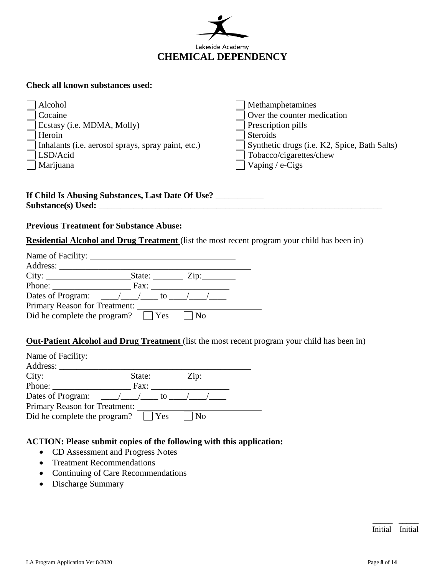

#### **Check all known substances used:**

| Alcohol                                            | Methamphetamines                             |
|----------------------------------------------------|----------------------------------------------|
| Cocaine                                            | Over the counter medication                  |
| Ecstasy (i.e. MDMA, Molly)                         | Prescription pills                           |
| Heroin                                             | <b>Steroids</b>                              |
| Inhalants (i.e. aerosol sprays, spray paint, etc.) | Synthetic drugs (i.e. K2, Spice, Bath Salts) |
| LSD/Acid                                           | Tobacco/cigarettes/chew                      |
| Marijuana                                          | Vaping / $e$ -Cigs                           |
|                                                    |                                              |
|                                                    |                                              |
| If Child Is Abusing Substances, Last Date Of Use?  |                                              |

# **Previous Treatment for Substance Abuse:**

**Substance(s) Used:** \_\_\_\_\_\_\_\_\_\_\_\_\_\_\_\_\_\_\_\_\_\_\_\_\_\_\_\_\_\_\_\_\_\_\_\_\_\_\_\_\_\_\_\_\_\_\_\_\_\_\_\_\_\_\_\_\_\_\_\_\_\_\_\_\_

**Residential Alcohol and Drug Treatment** (list the most recent program your child has been in)

| Name of Facility:                                                                                                            |                    |            |
|------------------------------------------------------------------------------------------------------------------------------|--------------------|------------|
| Address:                                                                                                                     |                    |            |
|                                                                                                                              | State:             | $\chi$ ip: |
| Phone:                                                                                                                       | Fax:               |            |
| Dates of Program: $\frac{\sqrt{1-\frac{1}{2}}}{\sqrt{1-\frac{1}{2}}}$ to $\frac{\sqrt{1-\frac{1}{2}}}{\sqrt{1-\frac{1}{2}}}$ |                    |            |
| Primary Reason for Treatment:                                                                                                |                    |            |
| Did he complete the program?                                                                                                 | $\blacksquare$ Yes | l No       |

### **Out-Patient Alcohol and Drug Treatment** (list the most recent program your child has been in)

| Name of Facility: _______                                 |             |                           |
|-----------------------------------------------------------|-------------|---------------------------|
| Address:                                                  |             |                           |
|                                                           | State:      | $\overline{\text{Zip: }}$ |
| Phone: $\frac{1}{\sqrt{1-\frac{1}{2}} \cdot \frac{1}{2}}$ | Fax:        |                           |
| Dates of Program: $\angle$ / $\angle$ to / /              |             |                           |
| Primary Reason for Treatment:                             |             |                           |
| Did he complete the program?                              | $ $ $ $ Yes | $N_{\Omega}$              |

### **ACTION: Please submit copies of the following with this application:**

- CD Assessment and Progress Notes
- Treatment Recommendations
- Continuing of Care Recommendations
- Discharge Summary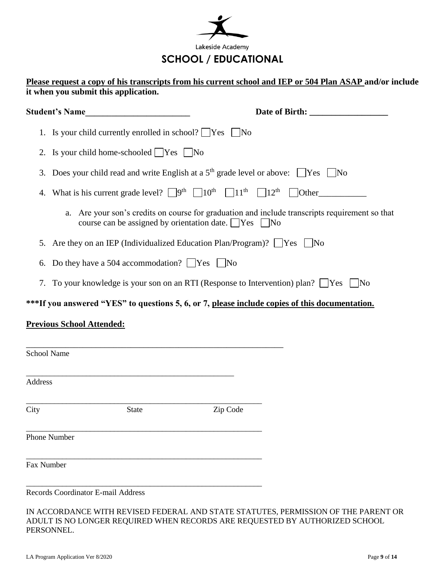

### **Please request a copy of his transcripts from his current school and IEP or 504 Plan ASAP and/or include it when you submit this application.**

|                    | <b>Student's Name</b>                                                                                                           |                                                                                                 |  |
|--------------------|---------------------------------------------------------------------------------------------------------------------------------|-------------------------------------------------------------------------------------------------|--|
|                    | 1. Is your child currently enrolled in school? $\Box$ Yes $\Box$ No                                                             |                                                                                                 |  |
|                    | 2. Is your child home-schooled $\Box$ Yes $\Box$ No                                                                             |                                                                                                 |  |
|                    |                                                                                                                                 | 3. Does your child read and write English at a $5th$ grade level or above: $\Box$ Yes $\Box$ No |  |
| 4.                 | What is his current grade level? $\Box$ 9 <sup>th</sup> $\Box$ 10 <sup>th</sup> $\Box$ 11 <sup>th</sup> $\Box$ 12 <sup>th</sup> | <b>Other</b>                                                                                    |  |
|                    | a.<br>course can be assigned by orientation date. $\Box$ Yes $\Box$ No                                                          | Are your son's credits on course for graduation and include transcripts requirement so that     |  |
|                    |                                                                                                                                 | 5. Are they on an IEP (Individualized Education Plan/Program)? [Yes [No                         |  |
| 6.                 | Do they have a 504 accommodation? $\Box$ Yes $\Box$ No                                                                          |                                                                                                 |  |
|                    |                                                                                                                                 | 7. To your knowledge is your son on an RTI (Response to Intervention) plan? Yes No              |  |
|                    |                                                                                                                                 | ***If you answered "YES" to questions 5, 6, or 7, please include copies of this documentation.  |  |
|                    | <u>Previous School Attended:</u>                                                                                                |                                                                                                 |  |
|                    | and the control of the control of the control of the control of the control of the control of the control of the                |                                                                                                 |  |
| <b>School Name</b> |                                                                                                                                 |                                                                                                 |  |
|                    |                                                                                                                                 |                                                                                                 |  |
| <b>Address</b>     |                                                                                                                                 |                                                                                                 |  |
| City               | <b>State</b>                                                                                                                    | Zip Code                                                                                        |  |
| Phone Number       |                                                                                                                                 |                                                                                                 |  |
| Fax Number         |                                                                                                                                 |                                                                                                 |  |
|                    | <b>Records Coordinator E-mail Address</b>                                                                                       |                                                                                                 |  |

IN ACCORDANCE WITH REVISED FEDERAL AND STATE STATUTES, PERMISSION OF THE PARENT OR ADULT IS NO LONGER REQUIRED WHEN RECORDS ARE REQUESTED BY AUTHORIZED SCHOOL PERSONNEL.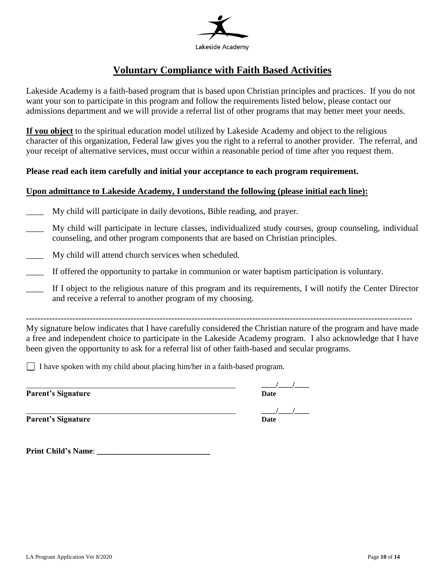

# **Voluntary Compliance with Faith Based Activities**

Lakeside Academy is a faith-based program that is based upon Christian principles and practices. If you do not want your son to participate in this program and follow the requirements listed below, please contact our admissions department and we will provide a referral list of other programs that may better meet your needs.

**If you object** to the spiritual education model utilized by Lakeside Academy and object to the religious character of this organization, Federal law gives you the right to a referral to another provider. The referral, and your receipt of alternative services, must occur within a reasonable period of time after you request them.

#### **Please read each item carefully and initial your acceptance to each program requirement.**

### **Upon admittance to Lakeside Academy, I understand the following (please initial each line):**

- \_\_\_\_ My child will participate in daily devotions, Bible reading, and prayer.
- \_\_\_\_ My child will participate in lecture classes, individualized study courses, group counseling, individual counseling, and other program components that are based on Christian principles.
- My child will attend church services when scheduled.
- If offered the opportunity to partake in communion or water baptism participation is voluntary.
- \_\_\_\_ If I object to the religious nature of this program and its requirements, I will notify the Center Director and receive a referral to another program of my choosing.

-------------------------------------------------------------------------------------------------------------------------------------

My signature below indicates that I have carefully considered the Christian nature of the program and have made a free and independent choice to participate in the Lakeside Academy program. I also acknowledge that I have been given the opportunity to ask for a referral list of other faith-based and secular programs.

I have spoken with my child about placing him/her in a faith-based program.

**Parent's Signature** 

**\_\_\_\_/\_\_\_\_/\_\_\_\_**

**Parent's Signature** 

**\_\_\_\_/\_\_\_\_/\_\_\_\_**

**Print Child's Name**: **\_\_\_\_\_\_\_\_\_\_\_\_\_\_\_\_\_\_\_\_\_\_\_\_\_\_**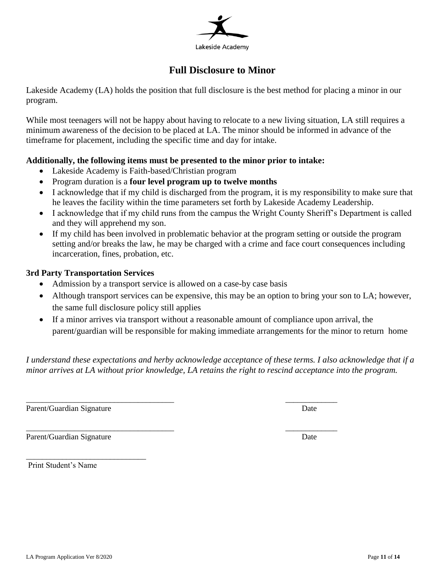

## **Full Disclosure to Minor**

Lakeside Academy (LA) holds the position that full disclosure is the best method for placing a minor in our program.

While most teenagers will not be happy about having to relocate to a new living situation, LA still requires a minimum awareness of the decision to be placed at LA. The minor should be informed in advance of the timeframe for placement, including the specific time and day for intake.

### **Additionally, the following items must be presented to the minor prior to intake:**

- Lakeside Academy is Faith-based/Christian program
- Program duration is a **four level program up to twelve months**
- I acknowledge that if my child is discharged from the program, it is my responsibility to make sure that he leaves the facility within the time parameters set forth by Lakeside Academy Leadership.
- I acknowledge that if my child runs from the campus the Wright County Sheriff's Department is called and they will apprehend my son.
- If my child has been involved in problematic behavior at the program setting or outside the program setting and/or breaks the law, he may be charged with a crime and face court consequences including incarceration, fines, probation, etc.

### **3rd Party Transportation Services**

Admission by a transport service is allowed on a case-by case basis

\_\_\_\_\_\_\_\_\_\_\_\_\_\_\_\_\_\_\_\_\_\_\_\_\_\_\_\_\_\_\_\_\_\_\_\_\_ \_\_\_\_\_\_\_\_\_\_\_\_\_

- Although transport services can be expensive, this may be an option to bring your son to LA; however, the same full disclosure policy still applies
- If a minor arrives via transport without a reasonable amount of compliance upon arrival, the parent/guardian will be responsible for making immediate arrangements for the minor to return home

*I understand these expectations and herby acknowledge acceptance of these terms. I also acknowledge that if a minor arrives at LA without prior knowledge, LA retains the right to rescind acceptance into the program.* 

Parent/Guardian Signature Date

Parent/Guardian Signature Date

\_\_\_\_\_\_\_\_\_\_\_\_\_\_\_\_\_\_\_\_\_\_\_\_\_\_\_\_\_\_ Print Student's Name

\_\_\_\_\_\_\_\_\_\_\_\_\_\_\_\_\_\_\_\_\_\_\_\_\_\_\_\_\_\_\_\_\_\_\_\_\_ \_\_\_\_\_\_\_\_\_\_\_\_\_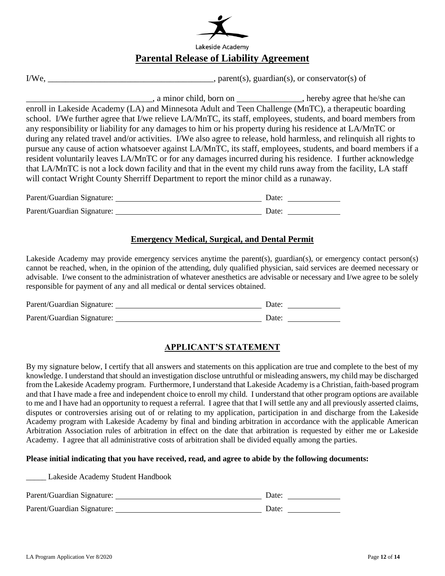| Lakeside Academy                               |
|------------------------------------------------|
| <b>Parental Release of Liability Agreement</b> |

| I/We. | $\Box$ , parent(s), guardian(s), or conservator(s) of |
|-------|-------------------------------------------------------|
|-------|-------------------------------------------------------|

\_\_\_\_\_\_\_\_\_\_\_\_\_\_\_\_\_\_\_\_\_\_\_\_\_\_\_\_\_, a minor child, born on \_\_\_\_\_\_\_\_\_\_\_\_\_\_\_, hereby agree that he/she can enroll in Lakeside Academy (LA) and Minnesota Adult and Teen Challenge (MnTC), a therapeutic boarding school. I/We further agree that I/we relieve LA/MnTC, its staff, employees, students, and board members from any responsibility or liability for any damages to him or his property during his residence at LA/MnTC or during any related travel and/or activities. I/We also agree to release, hold harmless, and relinquish all rights to pursue any cause of action whatsoever against LA/MnTC, its staff, employees, students, and board members if a resident voluntarily leaves LA/MnTC or for any damages incurred during his residence. I further acknowledge that LA/MnTC is not a lock down facility and that in the event my child runs away from the facility, LA staff will contact Wright County Sherriff Department to report the minor child as a runaway.

| Parent/Guardian Signature: | Date: |  |
|----------------------------|-------|--|
| Parent/Guardian Signature: | Date: |  |

#### **Emergency Medical, Surgical, and Dental Permit**

Lakeside Academy may provide emergency services anytime the parent(s), guardian(s), or emergency contact person(s) cannot be reached, when, in the opinion of the attending, duly qualified physician, said services are deemed necessary or advisable. I/we consent to the administration of whatever anesthetics are advisable or necessary and I/we agree to be solely responsible for payment of any and all medical or dental services obtained.

| Parent/Guardian Signature: | Date: |  |
|----------------------------|-------|--|
| Parent/Guardian Signature: | Date: |  |

### **APPLICANT'S STATEMENT**

By my signature below, I certify that all answers and statements on this application are true and complete to the best of my knowledge. I understand that should an investigation disclose untruthful or misleading answers, my child may be discharged from the Lakeside Academy program. Furthermore, I understand that Lakeside Academy is a Christian, faith-based program and that I have made a free and independent choice to enroll my child. I understand that other program options are available to me and I have had an opportunity to request a referral. I agree that that I will settle any and all previously asserted claims, disputes or controversies arising out of or relating to my application, participation in and discharge from the Lakeside Academy program with Lakeside Academy by final and binding arbitration in accordance with the applicable American Arbitration Association rules of arbitration in effect on the date that arbitration is requested by either me or Lakeside Academy. I agree that all administrative costs of arbitration shall be divided equally among the parties.

#### **Please initial indicating that you have received, read, and agree to abide by the following documents:**

\_\_\_\_\_ Lakeside Academy Student Handbook

| Parent/Guardian Signature: | Date: |  |
|----------------------------|-------|--|
| Parent/Guardian Signature: | Date: |  |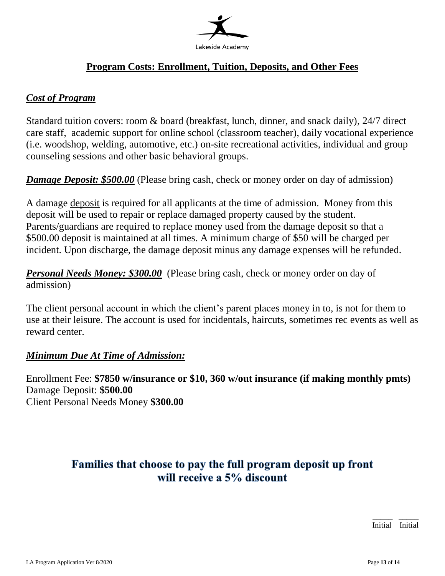

# **Program Costs: Enrollment, Tuition, Deposits, and Other Fees**

# *Cost of Program*

Standard tuition covers: room & board (breakfast, lunch, dinner, and snack daily), 24/7 direct care staff, academic support for online school (classroom teacher), daily vocational experience (i.e. woodshop, welding, automotive, etc.) on-site recreational activities, individual and group counseling sessions and other basic behavioral groups.

*Damage Deposit: \$500.00* (Please bring cash, check or money order on day of admission)

A damage deposit is required for all applicants at the time of admission. Money from this deposit will be used to repair or replace damaged property caused by the student. Parents/guardians are required to replace money used from the damage deposit so that a \$500.00 deposit is maintained at all times. A minimum charge of \$50 will be charged per incident. Upon discharge, the damage deposit minus any damage expenses will be refunded.

**Personal Needs Money: \$300.00** (Please bring cash, check or money order on day of admission)

The client personal account in which the client's parent places money in to, is not for them to use at their leisure. The account is used for incidentals, haircuts, sometimes rec events as well as reward center.

## *Minimum Due At Time of Admission:*

Enrollment Fee: **\$7850 w/insurance or \$10, 360 w/out insurance (if making monthly pmts)** Damage Deposit: **\$500.00** Client Personal Needs Money **\$300.00**

# Families that choose to pay the full program deposit up front will receive a 5% discount